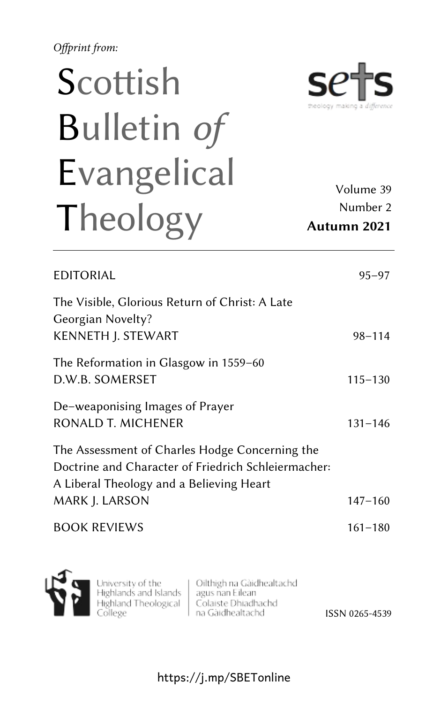*Offprint from:*

## Scottish Bulletin *of* Evangelical Theology

Volume 39 Number 2 **Autumn 2021**

heology making a *differe* 

S

| EDITORIAL                                                                                                                                                           | $95 - 97$   |
|---------------------------------------------------------------------------------------------------------------------------------------------------------------------|-------------|
| The Visible, Glorious Return of Christ: A Late<br>Georgian Novelty?<br><b>KENNETH J. STEWART</b>                                                                    | $98 - 114$  |
| The Reformation in Glasgow in 1559–60<br>D.W.B. SOMERSET                                                                                                            | $115 - 130$ |
| De-weaponising Images of Prayer<br>RONALD T. MICHENER                                                                                                               | $131 - 146$ |
| The Assessment of Charles Hodge Concerning the<br>Doctrine and Character of Friedrich Schleiermacher:<br>A Liberal Theology and a Believing Heart<br>MARK J. LARSON | $147 - 160$ |
| <b>BOOK REVIEWS</b>                                                                                                                                                 | $161 - 180$ |



University of the Highlands and Islands Highland Theological College

Oilthigh na Gàidhealtachd agus nan Eilean Colaiste Dhiadhachd na Gàidhealtachd

ISSN 0265-4539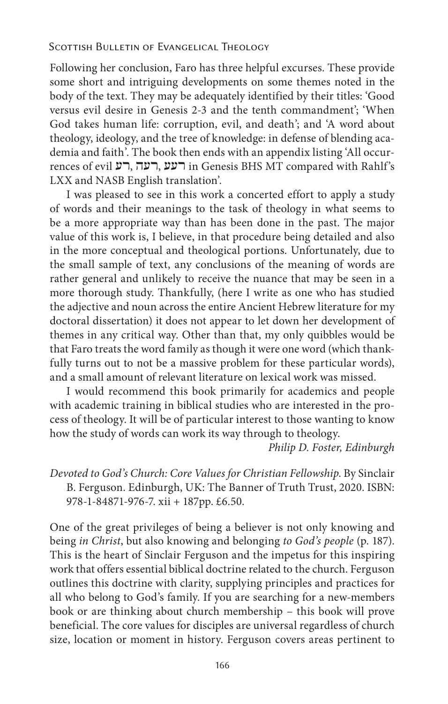## *Scottish Bulletin of Evangelical Theology*

Following her conclusion, Faro has three helpful excurses. These provide some short and intriguing developments on some themes noted in the body of the text. They may be adequately identified by their titles: 'Good versus evil desire in Genesis 2-3 and the tenth commandment'; 'When God takes human life: corruption, evil, and death'; and 'A word about theology, ideology, and the tree of knowledge: in defense of blending academia and faith'. The book then ends with an appendix listing 'All occurrences of evil רעע, רעה, ווא in Genesis BHS MT compared with Rahlf's LXX and NASB English translation'.

I was pleased to see in this work a concerted effort to apply a study of words and their meanings to the task of theology in what seems to be a more appropriate way than has been done in the past. The major value of this work is, I believe, in that procedure being detailed and also in the more conceptual and theological portions. Unfortunately, due to the small sample of text, any conclusions of the meaning of words are rather general and unlikely to receive the nuance that may be seen in a more thorough study. Thankfully, (here I write as one who has studied the adjective and noun across the entire Ancient Hebrew literature for my doctoral dissertation) it does not appear to let down her development of themes in any critical way. Other than that, my only quibbles would be that Faro treats the word family as though it were one word (which thankfully turns out to not be a massive problem for these particular words), and a small amount of relevant literature on lexical work was missed.

I would recommend this book primarily for academics and people with academic training in biblical studies who are interested in the process of theology. It will be of particular interest to those wanting to know how the study of words can work its way through to theology.

*Philip D. Foster, Edinburgh*

*Devoted to God's Church: Core Values for Christian Fellowship*. By Sinclair B. Ferguson. Edinburgh, UK: The Banner of Truth Trust, 2020. ISBN: 978-1-84871-976-7. xii + 187pp. £6.50.

One of the great privileges of being a believer is not only knowing and being *in Christ*, but also knowing and belonging *to God's people* (p. 187). This is the heart of Sinclair Ferguson and the impetus for this inspiring work that offers essential biblical doctrine related to the church. Ferguson outlines this doctrine with clarity, supplying principles and practices for all who belong to God's family. If you are searching for a new-members book or are thinking about church membership – this book will prove beneficial. The core values for disciples are universal regardless of church size, location or moment in history. Ferguson covers areas pertinent to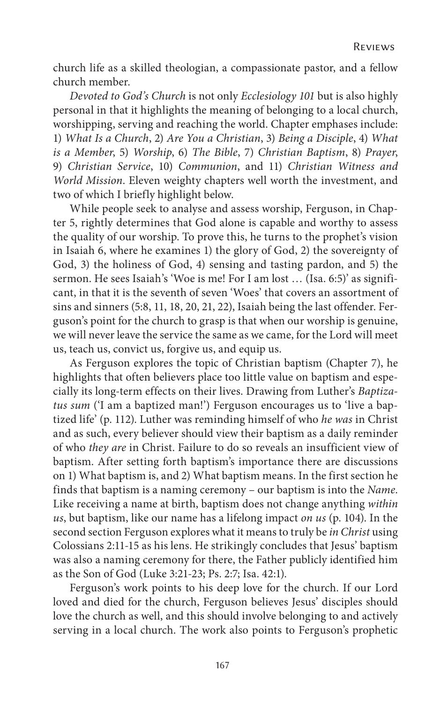church life as a skilled theologian, a compassionate pastor, and a fellow church member.

*Devoted to God's Church* is not only *Ecclesiology 101* but is also highly personal in that it highlights the meaning of belonging to a local church, worshipping, serving and reaching the world. Chapter emphases include: 1) *What Is a Church*, 2) *Are You a Christian*, 3) *Being a Disciple*, 4) *What is a Member*, 5) *Worship*, 6) *The Bible*, 7) *Christian Baptism*, 8) *Prayer*, 9) *Christian Service*, 10) *Communion*, and 11) *Christian Witness and World Mission*. Eleven weighty chapters well worth the investment, and two of which I briefly highlight below.

While people seek to analyse and assess worship, Ferguson, in Chapter 5, rightly determines that God alone is capable and worthy to assess the quality of our worship. To prove this, he turns to the prophet's vision in Isaiah 6, where he examines 1) the glory of God, 2) the sovereignty of God, 3) the holiness of God, 4) sensing and tasting pardon, and 5) the sermon. He sees Isaiah's 'Woe is me! For I am lost … (Isa. 6:5)' as significant, in that it is the seventh of seven 'Woes' that covers an assortment of sins and sinners (5:8, 11, 18, 20, 21, 22), Isaiah being the last offender. Ferguson's point for the church to grasp is that when our worship is genuine, we will never leave the service the same as we came, for the Lord will meet us, teach us, convict us, forgive us, and equip us.

As Ferguson explores the topic of Christian baptism (Chapter 7), he highlights that often believers place too little value on baptism and especially its long-term effects on their lives. Drawing from Luther's *Baptizatus sum* ('I am a baptized man!') Ferguson encourages us to 'live a baptized life' (p. 112). Luther was reminding himself of who *he was* in Christ and as such, every believer should view their baptism as a daily reminder of who *they are* in Christ. Failure to do so reveals an insufficient view of baptism. After setting forth baptism's importance there are discussions on 1) What baptism is, and 2) What baptism means. In the first section he finds that baptism is a naming ceremony – our baptism is into the *Name*. Like receiving a name at birth, baptism does not change anything *within us*, but baptism, like our name has a lifelong impact *on us* (p. 104). In the second section Ferguson explores what it means to truly be *in Christ* using Colossians 2:11-15 as his lens. He strikingly concludes that Jesus' baptism was also a naming ceremony for there, the Father publicly identified him as the Son of God (Luke 3:21-23; Ps. 2:7; Isa. 42:1).

Ferguson's work points to his deep love for the church. If our Lord loved and died for the church, Ferguson believes Jesus' disciples should love the church as well, and this should involve belonging to and actively serving in a local church. The work also points to Ferguson's prophetic